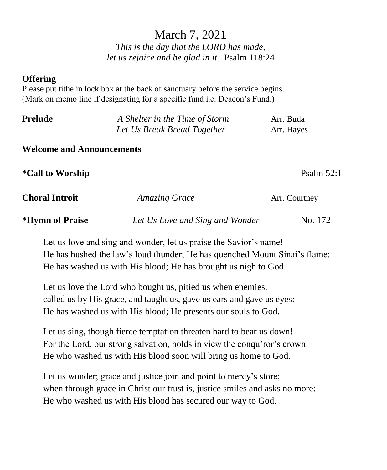# March 7, 2021

*This is the day that the LORD has made, let us rejoice and be glad in it.* Psalm 118:24

#### **Offering**

Please put tithe in lock box at the back of sanctuary before the service begins. (Mark on memo line if designating for a specific fund i.e. Deacon's Fund.)

| Prelude | A Shelter in the Time of Storm | Arr. Buda  |  |
|---------|--------------------------------|------------|--|
|         | Let Us Break Bread Together    | Arr. Hayes |  |
|         |                                |            |  |

#### **Welcome and Announcements**

**\*Call to Worship** Psalm 52:1

| <b>Choral Introit</b>         | <b>Amazing Grace</b>            | Arr. Courtney |  |
|-------------------------------|---------------------------------|---------------|--|
| <i><b>*Hymn of Praise</b></i> | Let Us Love and Sing and Wonder | No. 172       |  |

Let us love and sing and wonder, let us praise the Savior's name! He has hushed the law's loud thunder; He has quenched Mount Sinai's flame: He has washed us with His blood; He has brought us nigh to God.

Let us love the Lord who bought us, pitied us when enemies, called us by His grace, and taught us, gave us ears and gave us eyes: He has washed us with His blood; He presents our souls to God.

Let us sing, though fierce temptation threaten hard to bear us down! For the Lord, our strong salvation, holds in view the conqu'ror's crown: He who washed us with His blood soon will bring us home to God.

Let us wonder; grace and justice join and point to mercy's store; when through grace in Christ our trust is, justice smiles and asks no more: He who washed us with His blood has secured our way to God.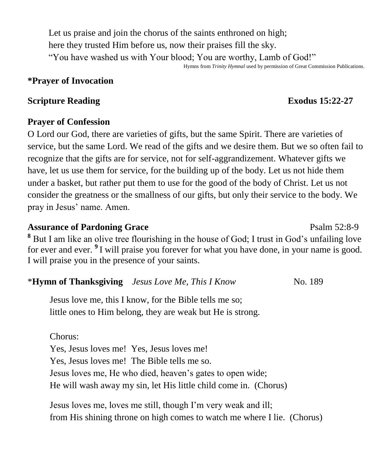Let us praise and join the chorus of the saints enthroned on high; here they trusted Him before us, now their praises fill the sky. "You have washed us with Your blood; You are worthy, Lamb of God!"

#### Hymns from *Trinity Hymnal* used by permission of Great Commission Publications.

### **\*Prayer of Invocation**

#### **Scripture Reading Exodus** 15:22-27

#### **Prayer of Confession**

O Lord our God, there are varieties of gifts, but the same Spirit. There are varieties of service, but the same Lord. We read of the gifts and we desire them. But we so often fail to recognize that the gifts are for service, not for self-aggrandizement. Whatever gifts we have, let us use them for service, for the building up of the body. Let us not hide them under a basket, but rather put them to use for the good of the body of Christ. Let us not consider the greatness or the smallness of our gifts, but only their service to the body. We pray in Jesus' name. Amen.

### Assurance of Pardoning Grace **Property** Psalm 52:8-9

**<sup>8</sup>** But I am like an olive tree flourishing in the house of God; I trust in God's unfailing love for ever and ever. **<sup>9</sup>** I will praise you forever for what you have done, in your name is good. I will praise you in the presence of your saints.

#### \***Hymn of Thanksgiving** *Jesus Love Me, This I Know* No. 189

Jesus love me, this I know, for the Bible tells me so; little ones to Him belong, they are weak but He is strong.

#### Chorus:

Yes, Jesus loves me! Yes, Jesus loves me! Yes, Jesus loves me! The Bible tells me so. Jesus loves me, He who died, heaven's gates to open wide; He will wash away my sin, let His little child come in. (Chorus)

Jesus loves me, loves me still, though I'm very weak and ill; from His shining throne on high comes to watch me where I lie. (Chorus)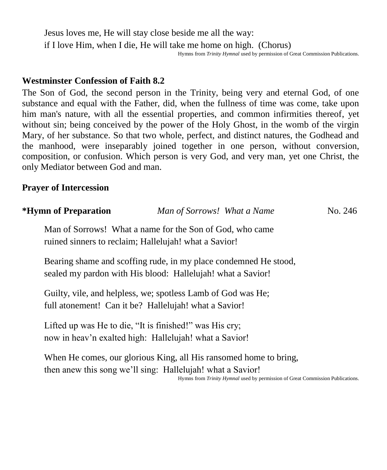Jesus loves me, He will stay close beside me all the way: if I love Him, when I die, He will take me home on high. (Chorus) Hymns from *Trinity Hymnal* used by permission of Great Commission Publications.

#### **Westminster Confession of Faith 8.2**

The Son of God, the second person in the Trinity, being very and eternal God, of one substance and equal with the Father, did, when the fullness of time was come, take upon him man's nature, with all the essential properties, and common infirmities thereof, yet without sin; being conceived by the power of the Holy Ghost, in the womb of the virgin Mary, of her substance. So that two whole, perfect, and distinct natures, the Godhead and the manhood, were inseparably joined together in one person, without conversion, composition, or confusion. Which person is very God, and very man, yet one Christ, the only Mediator between God and man.

#### **Prayer of Intercession**

| <i><b>*Hymn of Preparation</b></i> | Man of Sorrows! What a Name                                                                                                     | No. 246 |
|------------------------------------|---------------------------------------------------------------------------------------------------------------------------------|---------|
|                                    | Man of Sorrows! What a name for the Son of God, who came<br>ruined sinners to reclaim; Hallelujah! what a Savior!               |         |
|                                    | Bearing shame and scoffing rude, in my place condemned He stood,<br>sealed my pardon with His blood: Hallelujah! what a Savior! |         |
|                                    | Guilty, vile, and helpless, we; spotless Lamb of God was He;<br>full atonement! Can it be? Hallelujah! what a Savior!           |         |
|                                    | Lifted up was He to die, "It is finished!" was His cry;                                                                         |         |

When He comes, our glorious King, all His ransomed home to bring,

now in heav'n exalted high: Hallelujah! what a Savior!

then anew this song we'll sing: Hallelujah! what a Savior! Hymns from *Trinity Hymnal* used by permission of Great Commission Publications.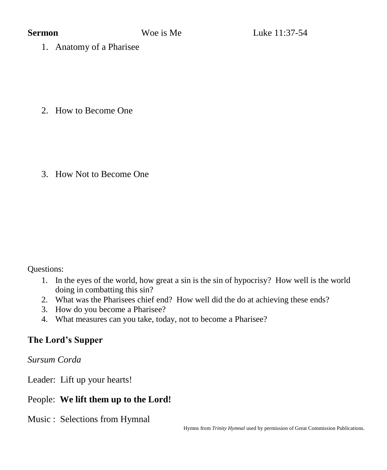1. Anatomy of a Pharisee

2. How to Become One

3. How Not to Become One

Questions:

- 1. In the eyes of the world, how great a sin is the sin of hypocrisy? How well is the world doing in combatting this sin?
- 2. What was the Pharisees chief end? How well did the do at achieving these ends?
- 3. How do you become a Pharisee?
- 4. What measures can you take, today, not to become a Pharisee?

## **The Lord's Supper**

*Sursum Corda*

Leader: Lift up your hearts!

## People: **We lift them up to the Lord!**

Music : Selections from Hymnal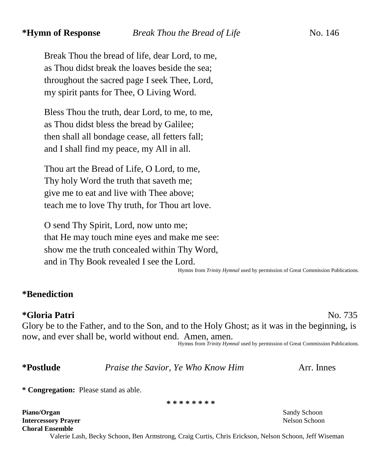Break Thou the bread of life, dear Lord, to me, as Thou didst break the loaves beside the sea; throughout the sacred page I seek Thee, Lord, my spirit pants for Thee, O Living Word.

Bless Thou the truth, dear Lord, to me, to me, as Thou didst bless the bread by Galilee; then shall all bondage cease, all fetters fall; and I shall find my peace, my All in all.

Thou art the Bread of Life, O Lord, to me, Thy holy Word the truth that saveth me; give me to eat and live with Thee above; teach me to love Thy truth, for Thou art love.

O send Thy Spirit, Lord, now unto me; that He may touch mine eyes and make me see: show me the truth concealed within Thy Word, and in Thy Book revealed I see the Lord.

Hymns from *Trinity Hymnal* used by permission of Great Commission Publications.

#### **\*Benediction**

#### **\*Gloria Patri** No. 735

Glory be to the Father, and to the Son, and to the Holy Ghost; as it was in the beginning, is now, and ever shall be, world without end. Amen, amen.

Hymns from *Trinity Hymnal* used by permission of Great Commission Publications.

**\*Postlude** *Praise the Savior, Ye Who Know Him* Arr. Innes

**\* Congregation:** Please stand as able.

**\* \* \* \* \* \* \* \***

**Piano/Organ** Sandy Schoon **Sandy Schoon Intercessory Prayer** Nelson Schoon **Choral Ensemble**

Valerie Lash, Becky Schoon, Ben Armstrong, Craig Curtis, Chris Erickson, Nelson Schoon, Jeff Wiseman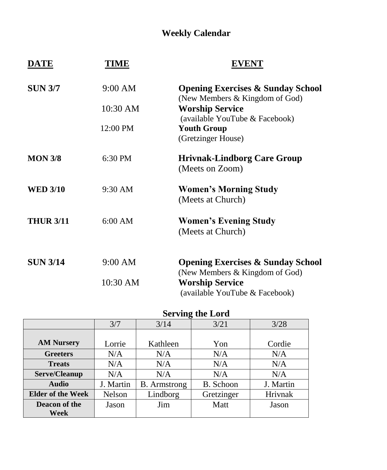## **Weekly Calendar**

| DATE             | TIME      | EVENT                                                                          |
|------------------|-----------|--------------------------------------------------------------------------------|
| <b>SUN 3/7</b>   | 9:00 AM   | <b>Opening Exercises &amp; Sunday School</b><br>(New Members & Kingdom of God) |
|                  | 10:30 AM  | <b>Worship Service</b><br>(available YouTube & Facebook)                       |
|                  | 12:00 PM  | <b>Youth Group</b><br>(Gretzinger House)                                       |
| <b>MON 3/8</b>   | 6:30 PM   | <b>Hrivnak-Lindborg Care Group</b><br>(Meets on Zoom)                          |
| <b>WED 3/10</b>  | $9:30$ AM | <b>Women's Morning Study</b><br>(Meets at Church)                              |
| <b>THUR 3/11</b> | $6:00$ AM | <b>Women's Evening Study</b><br>(Meets at Church)                              |
| <b>SUN 3/14</b>  | 9:00 AM   | <b>Opening Exercises &amp; Sunday School</b><br>(New Members & Kingdom of God) |
|                  | 10:30 AM  | <b>Worship Service</b><br>(available YouTube & Facebook)                       |

#### **Serving the Lord**

|                          | 3/7       | o<br>3/14           | 3/21       | 3/28      |
|--------------------------|-----------|---------------------|------------|-----------|
|                          |           |                     |            |           |
| <b>AM Nursery</b>        | Lorrie    | Kathleen            | Yon        | Cordie    |
| <b>Greeters</b>          | N/A       | N/A                 | N/A        | N/A       |
| <b>Treats</b>            | N/A       | N/A                 | N/A        | N/A       |
| Serve/Cleanup            | N/A       | N/A                 | N/A        | N/A       |
| <b>Audio</b>             | J. Martin | <b>B.</b> Armstrong | B. Schoon  | J. Martin |
| <b>Elder of the Week</b> | Nelson    | Lindborg            | Gretzinger | Hrivnak   |
| Deacon of the            | Jason     | Jim                 | Matt       | Jason     |
| Week                     |           |                     |            |           |